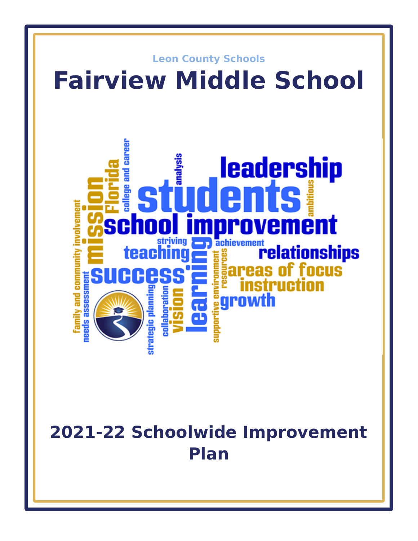

# **2021-22 Schoolwide Improvement Plan**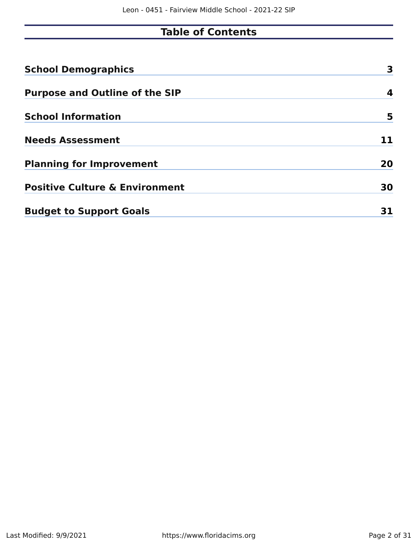# **Table of Contents**

| <b>School Demographics</b>                | 3  |
|-------------------------------------------|----|
| <b>Purpose and Outline of the SIP</b>     | 4  |
| <b>School Information</b>                 | 5  |
| <b>Needs Assessment</b>                   | 11 |
| <b>Planning for Improvement</b>           | 20 |
| <b>Positive Culture &amp; Environment</b> | 30 |
| <b>Budget to Support Goals</b>            | 31 |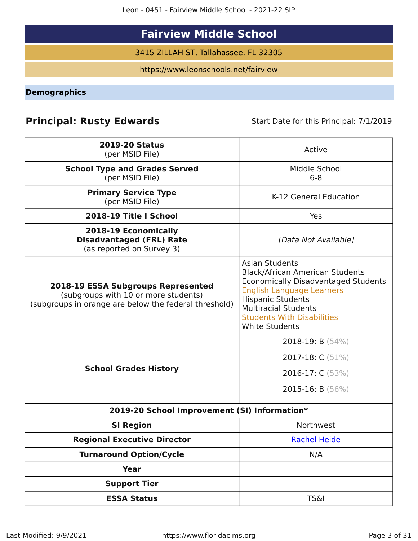Leon - 0451 - Fairview Middle School - 2021-22 SIP

# **Fairview Middle School**

3415 ZILLAH ST, Tallahassee, FL 32305

https://www.leonschools.net/fairview

<span id="page-2-0"></span>**Demographics**

## **Principal: Rusty Edwards** Start Date for this Principal: 7/1/2019

| <b>2019-20 Status</b><br>(per MSID File)                                                                                            | Active                                                                                                                                                                                                                                                                     |
|-------------------------------------------------------------------------------------------------------------------------------------|----------------------------------------------------------------------------------------------------------------------------------------------------------------------------------------------------------------------------------------------------------------------------|
| <b>School Type and Grades Served</b><br>(per MSID File)                                                                             | Middle School<br>$6 - 8$                                                                                                                                                                                                                                                   |
| <b>Primary Service Type</b><br>(per MSID File)                                                                                      | K-12 General Education                                                                                                                                                                                                                                                     |
| 2018-19 Title I School                                                                                                              | Yes                                                                                                                                                                                                                                                                        |
| 2018-19 Economically<br><b>Disadvantaged (FRL) Rate</b><br>(as reported on Survey 3)                                                | [Data Not Available]                                                                                                                                                                                                                                                       |
| 2018-19 ESSA Subgroups Represented<br>(subgroups with 10 or more students)<br>(subgroups in orange are below the federal threshold) | <b>Asian Students</b><br><b>Black/African American Students</b><br><b>Economically Disadvantaged Students</b><br><b>English Language Learners</b><br><b>Hispanic Students</b><br><b>Multiracial Students</b><br><b>Students With Disabilities</b><br><b>White Students</b> |
|                                                                                                                                     | 2018-19: B (54%)                                                                                                                                                                                                                                                           |
|                                                                                                                                     | 2017-18: C (51%)                                                                                                                                                                                                                                                           |
| <b>School Grades History</b>                                                                                                        | 2016-17: C (53%)                                                                                                                                                                                                                                                           |
|                                                                                                                                     | 2015-16: B $(56\%)$                                                                                                                                                                                                                                                        |
| 2019-20 School Improvement (SI) Information*                                                                                        |                                                                                                                                                                                                                                                                            |
| <b>SI Region</b>                                                                                                                    | Northwest                                                                                                                                                                                                                                                                  |
| <b>Regional Executive Director</b>                                                                                                  | <b>Rachel Heide</b>                                                                                                                                                                                                                                                        |
| <b>Turnaround Option/Cycle</b>                                                                                                      | N/A                                                                                                                                                                                                                                                                        |
| <b>Year</b>                                                                                                                         |                                                                                                                                                                                                                                                                            |
| <b>Support Tier</b>                                                                                                                 |                                                                                                                                                                                                                                                                            |
| <b>ESSA Status</b>                                                                                                                  | <b>TS&amp;I</b>                                                                                                                                                                                                                                                            |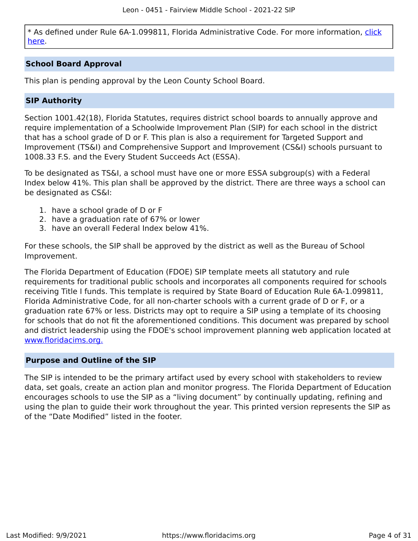\* As defined under Rule 6A-1.099811, Florida Administrative Code. For more information, [click](/downloads?category=da-forms) [here](/downloads?category=da-forms).

### **School Board Approval**

This plan is pending approval by the Leon County School Board.

### **SIP Authority**

Section 1001.42(18), Florida Statutes, requires district school boards to annually approve and require implementation of a Schoolwide Improvement Plan (SIP) for each school in the district that has a school grade of D or F. This plan is also a requirement for Targeted Support and Improvement (TS&I) and Comprehensive Support and Improvement (CS&I) schools pursuant to 1008.33 F.S. and the Every Student Succeeds Act (ESSA).

To be designated as TS&I, a school must have one or more ESSA subgroup(s) with a Federal Index below 41%. This plan shall be approved by the district. There are three ways a school can be designated as CS&I:

- 1. have a school grade of D or F
- 2. have a graduation rate of 67% or lower
- 3. have an overall Federal Index below 41%.

For these schools, the SIP shall be approved by the district as well as the Bureau of School Improvement.

The Florida Department of Education (FDOE) SIP template meets all statutory and rule requirements for traditional public schools and incorporates all components required for schools receiving Title I funds. This template is required by State Board of Education Rule 6A-1.099811, Florida Administrative Code, for all non-charter schools with a current grade of D or F, or a graduation rate 67% or less. Districts may opt to require a SIP using a template of its choosing for schools that do not fit the aforementioned conditions. This document was prepared by school and district leadership using the FDOE's school improvement planning web application located at [www.floridacims.org.](https://www.floridacims.org)

### <span id="page-3-0"></span>**Purpose and Outline of the SIP**

The SIP is intended to be the primary artifact used by every school with stakeholders to review data, set goals, create an action plan and monitor progress. The Florida Department of Education encourages schools to use the SIP as a "living document" by continually updating, refining and using the plan to guide their work throughout the year. This printed version represents the SIP as of the "Date Modified" listed in the footer.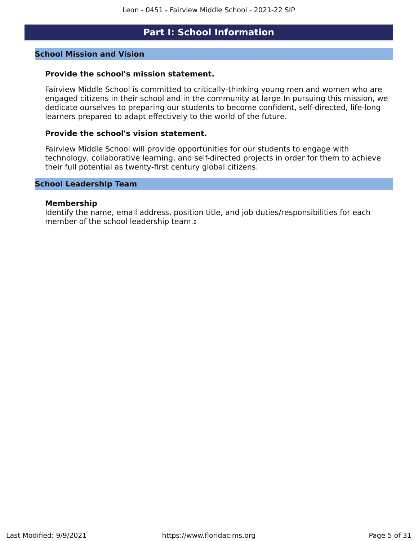### **Part I: School Information**

### <span id="page-4-0"></span>**School Mission and Vision**

### **Provide the school's mission statement.**

Fairview Middle School is committed to critically-thinking young men and women who are engaged citizens in their school and in the community at large.In pursuing this mission, we dedicate ourselves to preparing our students to become confident, self-directed, life-long learners prepared to adapt effectively to the world of the future.

### **Provide the school's vision statement.**

Fairview Middle School will provide opportunities for our students to engage with technology, collaborative learning, and self-directed projects in order for them to achieve their full potential as twenty-first century global citizens.

### **School Leadership Team**

#### **Membership**

Identify the name, email address, position title, and job duties/responsibilities for each member of the school leadership team.**:**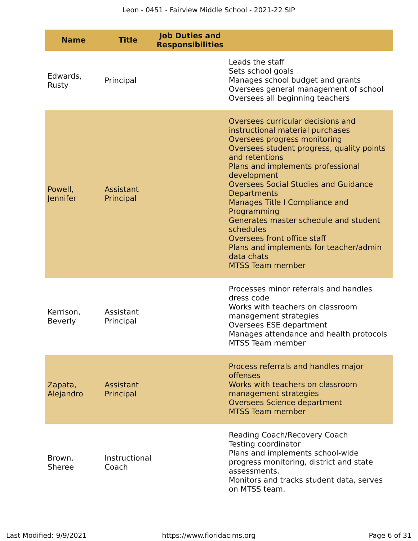| <b>Name</b>                | <b>Title</b>           | <b>Job Duties and</b><br><b>Responsibilities</b> |                                                                                                                                                                                                                                                                                                                                                                                                                                                                                                                        |
|----------------------------|------------------------|--------------------------------------------------|------------------------------------------------------------------------------------------------------------------------------------------------------------------------------------------------------------------------------------------------------------------------------------------------------------------------------------------------------------------------------------------------------------------------------------------------------------------------------------------------------------------------|
| Edwards,<br>Rusty          | Principal              |                                                  | Leads the staff<br>Sets school goals<br>Manages school budget and grants<br>Oversees general management of school<br>Oversees all beginning teachers                                                                                                                                                                                                                                                                                                                                                                   |
| Powell,<br><b>Jennifer</b> | Assistant<br>Principal |                                                  | Oversees curricular decisions and<br>instructional material purchases<br>Oversees progress monitoring<br>Oversees student progress, quality points<br>and retentions<br>Plans and implements professional<br>development<br><b>Oversees Social Studies and Guidance</b><br><b>Departments</b><br>Manages Title I Compliance and<br>Programming<br>Generates master schedule and student<br>schedules<br>Oversees front office staff<br>Plans and implements for teacher/admin<br>data chats<br><b>MTSS Team member</b> |
| Kerrison,<br>Beverly       | Assistant<br>Principal |                                                  | Processes minor referrals and handles<br>dress code<br>Works with teachers on classroom<br>management strategies<br>Oversees ESE department<br>Manages attendance and health protocols<br>MTSS Team member                                                                                                                                                                                                                                                                                                             |
| Zapata,<br>Alejandro       | Assistant<br>Principal |                                                  | Process referrals and handles major<br>offenses<br>Works with teachers on classroom<br>management strategies<br><b>Oversees Science department</b><br><b>MTSS Team member</b>                                                                                                                                                                                                                                                                                                                                          |
| Brown,<br>Sheree           | Instructional<br>Coach |                                                  | Reading Coach/Recovery Coach<br>Testing coordinator<br>Plans and implements school-wide<br>progress monitoring, district and state<br>assessments.<br>Monitors and tracks student data, serves<br>on MTSS team.                                                                                                                                                                                                                                                                                                        |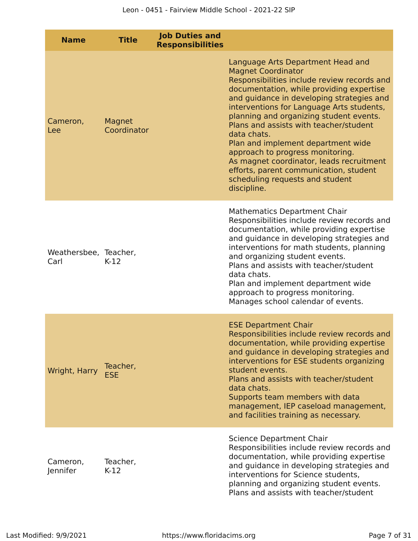| <b>Name</b>                   | <b>Title</b>           | <b>Job Duties and</b><br><b>Responsibilities</b> |                                                                                                                                                                                                                                                                                                                                                                                                                                                                                                                                                                           |
|-------------------------------|------------------------|--------------------------------------------------|---------------------------------------------------------------------------------------------------------------------------------------------------------------------------------------------------------------------------------------------------------------------------------------------------------------------------------------------------------------------------------------------------------------------------------------------------------------------------------------------------------------------------------------------------------------------------|
| Cameron,<br>Lee               | Magnet<br>Coordinator  |                                                  | Language Arts Department Head and<br><b>Magnet Coordinator</b><br>Responsibilities include review records and<br>documentation, while providing expertise<br>and guidance in developing strategies and<br>interventions for Language Arts students,<br>planning and organizing student events.<br>Plans and assists with teacher/student<br>data chats.<br>Plan and implement department wide<br>approach to progress monitoring.<br>As magnet coordinator, leads recruitment<br>efforts, parent communication, student<br>scheduling requests and student<br>discipline. |
| Weathersbee, Teacher,<br>Carl | $K-12$                 |                                                  | <b>Mathematics Department Chair</b><br>Responsibilities include review records and<br>documentation, while providing expertise<br>and guidance in developing strategies and<br>interventions for math students, planning<br>and organizing student events.<br>Plans and assists with teacher/student<br>data chats.<br>Plan and implement department wide<br>approach to progress monitoring.<br>Manages school calendar of events.                                                                                                                                       |
| Wright, Harry                 | Teacher,<br><b>ESE</b> |                                                  | <b>ESE Department Chair</b><br>Responsibilities include review records and<br>documentation, while providing expertise<br>and guidance in developing strategies and<br>interventions for ESE students organizing<br>student events.<br>Plans and assists with teacher/student<br>data chats.<br>Supports team members with data<br>management, IEP caseload management,<br>and facilities training as necessary.                                                                                                                                                          |
| Cameron,<br>Jennifer          | Teacher,<br>$K-12$     |                                                  | Science Department Chair<br>Responsibilities include review records and<br>documentation, while providing expertise<br>and guidance in developing strategies and<br>interventions for Science students,<br>planning and organizing student events.<br>Plans and assists with teacher/student                                                                                                                                                                                                                                                                              |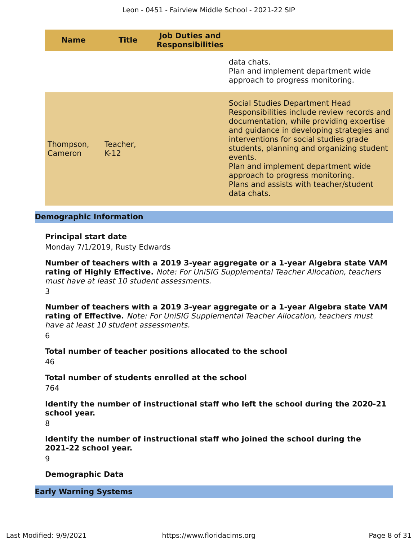| <b>Name</b>          | <b>Title</b>       | <b>Job Duties and</b><br><b>Responsibilities</b> |                                                                                                                                                                                                                                                                                                                                                                                                                    |
|----------------------|--------------------|--------------------------------------------------|--------------------------------------------------------------------------------------------------------------------------------------------------------------------------------------------------------------------------------------------------------------------------------------------------------------------------------------------------------------------------------------------------------------------|
|                      |                    |                                                  | data chats.<br>Plan and implement department wide<br>approach to progress monitoring.                                                                                                                                                                                                                                                                                                                              |
| Thompson,<br>Cameron | Teacher,<br>$K-12$ |                                                  | <b>Social Studies Department Head</b><br>Responsibilities include review records and<br>documentation, while providing expertise<br>and guidance in developing strategies and<br>interventions for social studies grade<br>students, planning and organizing student<br>events.<br>Plan and implement department wide<br>approach to progress monitoring.<br>Plans and assists with teacher/student<br>data chats. |

### **Demographic Information**

### **Principal start date**

Monday 7/1/2019, Rusty Edwards

**Number of teachers with a 2019 3-year aggregate or a 1-year Algebra state VAM rating of Highly Effective.** Note: For UniSIG Supplemental Teacher Allocation, teachers must have at least 10 student assessments. 3

**Number of teachers with a 2019 3-year aggregate or a 1-year Algebra state VAM rating of Effective.** Note: For UniSIG Supplemental Teacher Allocation, teachers must have at least 10 student assessments. 6

**Total number of teacher positions allocated to the school** 46

**Total number of students enrolled at the school**

764

**Identify the number of instructional staff who left the school during the 2020-21 school year.**

8

**Identify the number of instructional staff who joined the school during the 2021-22 school year.**

9

**Demographic Data**

**Early Warning Systems**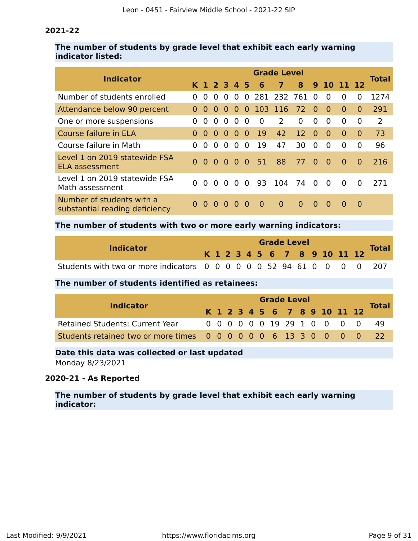### **2021-22**

### **The number of students by grade level that exhibit each early warning indicator listed:**

| <b>Indicator</b>                                            | <b>Grade Level</b> |          |                                        |          |          |          |          |                |          |                |            |          |          |               |  |
|-------------------------------------------------------------|--------------------|----------|----------------------------------------|----------|----------|----------|----------|----------------|----------|----------------|------------|----------|----------|---------------|--|
|                                                             |                    |          | K 1 2 3 4 5                            |          |          |          | $-6$     | $\overline{7}$ | 8        |                | 9 10 11 12 |          |          | <b>Total</b>  |  |
| Number of students enrolled                                 | $\Omega$           | $\Omega$ | $\Omega$                               | $\Omega$ | $\Omega$ | $\Omega$ |          | 281 232 761    |          | - 0            | $\Omega$   | $\Omega$ | $\Omega$ | 1274          |  |
| Attendance below 90 percent                                 | $\Omega$           | $\Omega$ | $\Omega$                               | $\Omega$ | $\Omega$ | 0        |          | 103 116        | 72       | - 0            | $\Omega$   | $\Omega$ | $\Omega$ | 291           |  |
| One or more suspensions                                     | <sup>0</sup>       | $\Omega$ | $\Omega$                               | $\Omega$ | 0        | $\Omega$ | $\Omega$ | $\mathcal{P}$  | 0        | 0              | $\Omega$   | $\Omega$ | $\Omega$ | $\mathcal{P}$ |  |
| Course failure in ELA                                       | $\Omega$           | $\Omega$ | $\Omega$                               | $\Omega$ | $\Omega$ | $\Omega$ | 19       | 42             | 12       | $\Omega$       | $\Omega$   | $\Omega$ | $\Omega$ | 73            |  |
| Course failure in Math                                      | $\Omega$           | 0        | $\Omega$                               | $\Omega$ | $\Omega$ | $\Omega$ | 19       | 47             | 30       | $\Omega$       | $\Omega$   | $\Omega$ | $\Omega$ | 96            |  |
| Level 1 on 2019 statewide FSA<br>ELA assessment             |                    |          | $0\quad 0\quad 0\quad 0\quad 0\quad 0$ |          |          |          | 51       | 88             | 77       | $\Omega$       | $\bullet$  | $\Omega$ | $\Omega$ | 216           |  |
| Level 1 on 2019 statewide FSA<br>Math assessment            | $\Omega$           | $\Omega$ | $\Omega$                               | $\Omega$ | $\Omega$ | $\Omega$ | 93       | 104            | 74       | $\overline{0}$ | $\Omega$   | $\Omega$ | $\Omega$ | 271           |  |
| Number of students with a<br>substantial reading deficiency | $\Omega$           | $\Omega$ | $\Omega$                               | $\Omega$ | O        |          | $\Omega$ | $\Omega$       | $\Omega$ | $\Omega$       | $\Omega$   | $\Omega$ | $\Omega$ |               |  |

### **The number of students with two or more early warning indicators:**

|                                                                       |  |  |  | <b>Grade Level</b> |  |                              |  |  |
|-----------------------------------------------------------------------|--|--|--|--------------------|--|------------------------------|--|--|
| <b>Indicator</b>                                                      |  |  |  |                    |  | K 1 2 3 4 5 6 7 8 9 10 11 12 |  |  |
| Students with two or more indicators 0 0 0 0 0 0 52 94 61 0 0 0 0 207 |  |  |  |                    |  |                              |  |  |

### **The number of students identified as retainees:**

| <b>Indicator</b>                                                 |  |  |  | <b>Grade Level</b> |  |                              |  |              |
|------------------------------------------------------------------|--|--|--|--------------------|--|------------------------------|--|--------------|
|                                                                  |  |  |  |                    |  | K 1 2 3 4 5 6 7 8 9 10 11 12 |  | <b>Total</b> |
| <b>Retained Students: Current Year</b>                           |  |  |  |                    |  | 0 0 0 0 0 0 19 29 1 0 0 0 0  |  | 49           |
| Students retained two or more times 0 0 0 0 0 0 6 13 3 0 0 0 0 0 |  |  |  |                    |  |                              |  |              |

# **Date this data was collected or last updated**

Monday 8/23/2021

### **2020-21 - As Reported**

**The number of students by grade level that exhibit each early warning indicator:**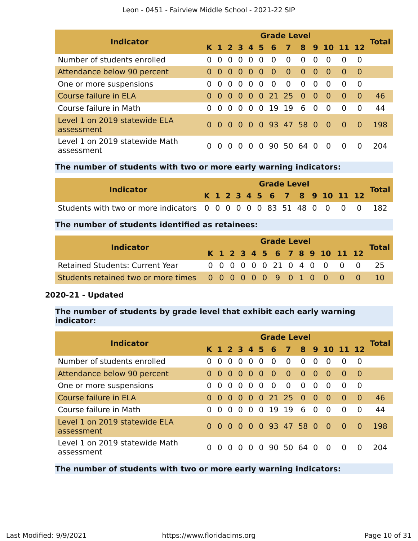| <b>Indicator</b>                             | <b>Grade Level</b> |          |                |           |          |          |                    |                |                |          |                |                |          |              |
|----------------------------------------------|--------------------|----------|----------------|-----------|----------|----------|--------------------|----------------|----------------|----------|----------------|----------------|----------|--------------|
|                                              |                    |          |                |           |          |          | K 1 2 3 4 5 6      |                |                |          |                | 7 8 9 10 11 12 |          | <b>Total</b> |
| Number of students enrolled                  | 0                  | $\Omega$ | $\Omega$       | $\Omega$  | $\Omega$ | $\Omega$ | $\Omega$           | $\Omega$       | $\Omega$       | $\Omega$ | $\Omega$       | $\Omega$       | $\Omega$ |              |
| Attendance below 90 percent                  |                    | $\Omega$ | 0 <sub>0</sub> |           | 0        | - 0      | $\bullet$          | $\overline{0}$ | $\bullet$      | 0        | $\bullet$      | $\Omega$       | - 0      |              |
| One or more suspensions                      |                    | $\Omega$ | $\Omega$       | $\Omega$  | $\Omega$ | $\Omega$ | $\overline{0}$     | $\Omega$       | $\overline{0}$ | $\Omega$ | $\overline{0}$ | $\Omega$       | - 0      |              |
| Course failure in ELA                        |                    | $\Omega$ | $\bullet$      | $\bullet$ | $\Omega$ |          | $0$ 21 25 0        |                |                | $\Omega$ | $\overline{0}$ | $\Omega$       | $\Omega$ | 46           |
| Course failure in Math                       | 0                  | $\Omega$ | $\Omega$       | $\Omega$  | $\Omega$ |          | 0 19               | 19             | 6              | $\Omega$ | $\overline{0}$ | $\Omega$       | $\Omega$ | 44           |
| Level 1 on 2019 statewide ELA<br>assessment  |                    | 0        |                |           |          |          | 0 0 0 0 93 47 58 0 |                |                |          | $\overline{0}$ | - 0            | $\Omega$ | 198          |
| Level 1 on 2019 statewide Math<br>assessment |                    | $\Omega$ |                | O         |          | $\Omega$ | 90.                | 50 64          |                | $\Omega$ | $\Omega$       | $\Omega$       |          | 204          |

### **The number of students with two or more early warning indicators:**

| <b>Indicator</b>                                                      |  |  |  |  | <b>Grade Level</b> |  |                              |              |
|-----------------------------------------------------------------------|--|--|--|--|--------------------|--|------------------------------|--------------|
|                                                                       |  |  |  |  |                    |  | K 1 2 3 4 5 6 7 8 9 10 11 12 | <b>Total</b> |
| Students with two or more indicators 0 0 0 0 0 0 83 51 48 0 0 0 0 182 |  |  |  |  |                    |  |                              |              |

### **The number of students identified as retainees:**

| <b>Indicator</b>                                    |  |  |  |  |  | <b>Grade Level</b>           |  |                               |  |  |  |  |  |  |  |  |  |  |  |  |
|-----------------------------------------------------|--|--|--|--|--|------------------------------|--|-------------------------------|--|--|--|--|--|--|--|--|--|--|--|--|
|                                                     |  |  |  |  |  | K 1 2 3 4 5 6 7 8 9 10 11 12 |  | <b>Total</b>                  |  |  |  |  |  |  |  |  |  |  |  |  |
| <b>Retained Students: Current Year</b>              |  |  |  |  |  |                              |  | 0 0 0 0 0 0 21 0 4 0 0 0 0 25 |  |  |  |  |  |  |  |  |  |  |  |  |
| Students retained two or more times 000000090100000 |  |  |  |  |  |                              |  | $-10$                         |  |  |  |  |  |  |  |  |  |  |  |  |

### **2020-21 - Updated**

### **The number of students by grade level that exhibit each early warning indicator:**

| <b>Indicator</b>                             | <b>Grade Level</b> |              |          |                                     |                |          |                 |                          |           |                |                              |              |              |              |  |
|----------------------------------------------|--------------------|--------------|----------|-------------------------------------|----------------|----------|-----------------|--------------------------|-----------|----------------|------------------------------|--------------|--------------|--------------|--|
|                                              |                    |              |          |                                     |                |          |                 |                          |           |                | K 1 2 3 4 5 6 7 8 9 10 11 12 |              |              | <b>Total</b> |  |
| Number of students enrolled                  | $\Omega$           | $\Omega$     | $\Omega$ | $\Omega$                            | $\Omega$       | $\Omega$ | $\Omega$        | $\Omega$                 | $\Omega$  | $\Omega$       | $\Omega$                     | $\Omega$     | 0            |              |  |
| Attendance below 90 percent                  | $\Omega$           | $\Omega$     | 0        | $\begin{matrix} 0 & 0 \end{matrix}$ |                | $\Omega$ | $\sim$ 0 $\sim$ | $\overline{\phantom{0}}$ | $\bullet$ | - 0            | $\bullet$                    | -0           | - 0          |              |  |
| One or more suspensions                      | $\Omega$           | $\Omega$     | $\Omega$ | $\Omega$                            | $\Omega$       | $\Omega$ | $\Omega$        | $\Omega$                 | $\Omega$  | $\Omega$       | $\Omega$                     | <sup>0</sup> | 0            |              |  |
| Course failure in ELA                        | $\Omega$           | $\Omega$     | $\Omega$ |                                     |                |          |                 | 0 0 0 21 25 0 0          |           |                | $\overline{0}$               | $\Omega$     | - 0          | 46           |  |
| Course failure in Math                       | <sup>0</sup>       | <sup>0</sup> | $\Omega$ | $\Omega$                            | $\overline{0}$ | $\Omega$ | 19 19           |                          | 6         | $\overline{0}$ | $\overline{0}$               | $\Omega$     | $\Omega$     | 44           |  |
| Level 1 on 2019 statewide ELA<br>assessment  | 0                  | $\Omega$     | $\Omega$ | $\Omega$                            |                |          |                 | 0 0 93 47 58 0           |           |                | - റ                          | - 0          | 0            | 198          |  |
| Level 1 on 2019 statewide Math<br>assessment |                    | <sup>0</sup> | $\Omega$ |                                     | <sup>n</sup>   | $\Omega$ |                 | 90 50 64 0               |           |                | 0                            | 0            | $\mathbf{0}$ | 204          |  |

**The number of students with two or more early warning indicators:**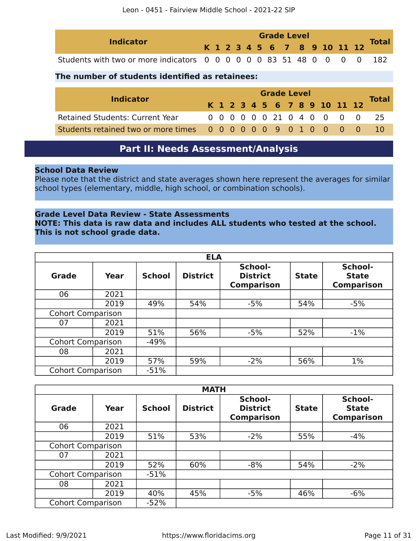| <b>Indicator</b>                                                      | <b>Grade Level</b> |  |  |  |  |  |  |  |  |  |  | Total                        |  |
|-----------------------------------------------------------------------|--------------------|--|--|--|--|--|--|--|--|--|--|------------------------------|--|
|                                                                       |                    |  |  |  |  |  |  |  |  |  |  | K 1 2 3 4 5 6 7 8 9 10 11 12 |  |
| Students with two or more indicators 0 0 0 0 0 0 83 51 48 0 0 0 0 182 |                    |  |  |  |  |  |  |  |  |  |  |                              |  |

### **The number of students identified as retainees:**

|                  |                                                     | <b>Grade Level</b> |  |  |  |  |  |  |  |  |  |                              |  |                               |
|------------------|-----------------------------------------------------|--------------------|--|--|--|--|--|--|--|--|--|------------------------------|--|-------------------------------|
| <b>Indicator</b> |                                                     |                    |  |  |  |  |  |  |  |  |  | K 1 2 3 4 5 6 7 8 9 10 11 12 |  | Total                         |
|                  | <b>Retained Students: Current Year</b>              |                    |  |  |  |  |  |  |  |  |  |                              |  | 0 0 0 0 0 0 21 0 4 0 0 0 0 25 |
|                  | Students retained two or more times 000000090100000 |                    |  |  |  |  |  |  |  |  |  |                              |  |                               |

# **Part II: Needs Assessment/Analysis**

### <span id="page-10-0"></span>**School Data Review**

Please note that the district and state averages shown here represent the averages for similar school types (elementary, middle, high school, or combination schools).

### **Grade Level Data Review - State Assessments**

**NOTE: This data is raw data and includes ALL students who tested at the school. This is not school grade data.**

|                          |      |               | <b>ELA</b>      |                                                 |              |                                              |
|--------------------------|------|---------------|-----------------|-------------------------------------------------|--------------|----------------------------------------------|
| <b>Grade</b>             | Year | <b>School</b> | <b>District</b> | School-<br><b>District</b><br><b>Comparison</b> | <b>State</b> | School-<br><b>State</b><br><b>Comparison</b> |
| 06                       | 2021 |               |                 |                                                 |              |                                              |
|                          | 2019 | 49%           | 54%             | $-5%$                                           | 54%          | $-5%$                                        |
| <b>Cohort Comparison</b> |      |               |                 |                                                 |              |                                              |
| 07                       | 2021 |               |                 |                                                 |              |                                              |
|                          | 2019 | 51%           | 56%             | $-5%$                                           | 52%          | $-1\%$                                       |
| <b>Cohort Comparison</b> |      | $-49%$        |                 |                                                 |              |                                              |
| 08                       | 2021 |               |                 |                                                 |              |                                              |
|                          | 2019 | 57%           | 59%             | $-2%$                                           | 56%          | $1\%$                                        |
| <b>Cohort Comparison</b> |      | $-51%$        |                 |                                                 |              |                                              |

|                          |      |               | <b>MATH</b>     |                                                 |              |                                              |
|--------------------------|------|---------------|-----------------|-------------------------------------------------|--------------|----------------------------------------------|
| Grade                    | Year | <b>School</b> | <b>District</b> | School-<br><b>District</b><br><b>Comparison</b> | <b>State</b> | School-<br><b>State</b><br><b>Comparison</b> |
| 06                       | 2021 |               |                 |                                                 |              |                                              |
|                          | 2019 | 51%           | 53%             | $-2%$                                           | 55%          | $-4%$                                        |
| <b>Cohort Comparison</b> |      |               |                 |                                                 |              |                                              |
| 07                       | 2021 |               |                 |                                                 |              |                                              |
|                          | 2019 | 52%           | 60%             | $-8%$                                           | 54%          | $-2%$                                        |
| <b>Cohort Comparison</b> |      | $-51%$        |                 |                                                 |              |                                              |
| 08                       | 2021 |               |                 |                                                 |              |                                              |
|                          | 2019 | 40%           | 45%             | $-5%$                                           | 46%          | $-6%$                                        |
| <b>Cohort Comparison</b> |      | $-52%$        |                 |                                                 |              |                                              |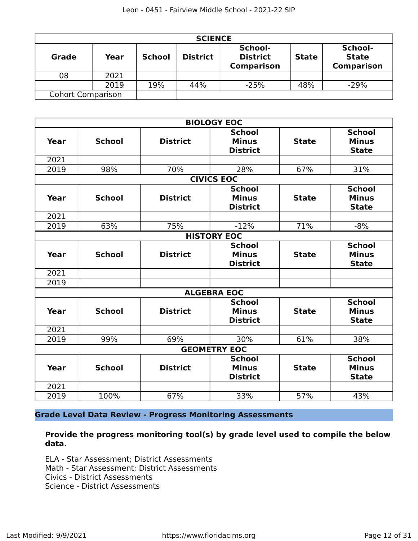|                          |      |               | <b>SCIENCE</b>  |                                                 |              |                                              |
|--------------------------|------|---------------|-----------------|-------------------------------------------------|--------------|----------------------------------------------|
| <b>Grade</b>             | Year | <b>School</b> | <b>District</b> | School-<br><b>District</b><br><b>Comparison</b> | <b>State</b> | School-<br><b>State</b><br><b>Comparison</b> |
| 08                       | 2021 |               |                 |                                                 |              |                                              |
|                          | 2019 | 19%           | 44%             | $-25%$                                          | 48%          | $-29%$                                       |
| <b>Cohort Comparison</b> |      |               |                 |                                                 |              |                                              |

|             |               |                 | <b>BIOLOGY EOC</b>                               |              |                                               |
|-------------|---------------|-----------------|--------------------------------------------------|--------------|-----------------------------------------------|
| Year        | <b>School</b> | <b>District</b> | <b>School</b><br><b>Minus</b><br><b>District</b> | <b>State</b> | <b>School</b><br><b>Minus</b><br><b>State</b> |
| 2021        |               |                 |                                                  |              |                                               |
| 2019        | 98%           | 70%             | 28%                                              | 67%          | 31%                                           |
|             |               |                 | <b>CIVICS EOC</b>                                |              |                                               |
| Year        | <b>School</b> | <b>District</b> | <b>School</b><br><b>Minus</b><br><b>District</b> | <b>State</b> | <b>School</b><br><b>Minus</b><br><b>State</b> |
| 2021        |               |                 |                                                  |              |                                               |
| 2019        | 63%           | 75%             | $-12%$                                           | 71%          | $-8%$                                         |
|             |               |                 | <b>HISTORY EOC</b>                               |              |                                               |
| <b>Year</b> | <b>School</b> | <b>District</b> | <b>School</b><br><b>Minus</b><br><b>District</b> | <b>State</b> | <b>School</b><br><b>Minus</b><br><b>State</b> |
| 2021        |               |                 |                                                  |              |                                               |
| 2019        |               |                 |                                                  |              |                                               |
|             |               |                 | <b>ALGEBRA EOC</b>                               |              |                                               |
| Year        | <b>School</b> | <b>District</b> | <b>School</b><br><b>Minus</b><br><b>District</b> | <b>State</b> | <b>School</b><br><b>Minus</b><br><b>State</b> |
| 2021        |               |                 |                                                  |              |                                               |
| 2019        | 99%           | 69%             | 30%                                              | 61%          | 38%                                           |
|             |               |                 | <b>GEOMETRY EOC</b>                              |              |                                               |
| Year        | <b>School</b> | <b>District</b> | <b>School</b><br><b>Minus</b><br><b>District</b> | <b>State</b> | <b>School</b><br><b>Minus</b><br><b>State</b> |
| 2021        |               |                 |                                                  |              |                                               |
| 2019        | 100%          | 67%             | 33%                                              | 57%          | 43%                                           |

**Grade Level Data Review - Progress Monitoring Assessments**

**Provide the progress monitoring tool(s) by grade level used to compile the below data.**

ELA - Star Assessment; District Assessments Math - Star Assessment; District Assessments Civics - District Assessments Science - District Assessments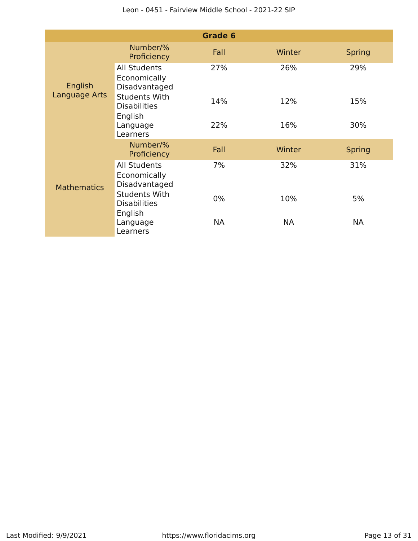|                          |                                                        | Grade 6   |           |               |
|--------------------------|--------------------------------------------------------|-----------|-----------|---------------|
|                          | Number/%<br>Proficiency                                | Fall      | Winter    | <b>Spring</b> |
| English<br>Language Arts | <b>All Students</b><br>Economically<br>Disadvantaged   | 27%       | 26%       | 29%           |
|                          | <b>Students With</b><br><b>Disabilities</b><br>English | 14%       | 12%       | 15%           |
|                          | Language<br>Learners                                   | 22%       | 16%       | 30%           |
|                          | Number/%<br>Proficiency                                | Fall      | Winter    | <b>Spring</b> |
| <b>Mathematics</b>       | <b>All Students</b><br>Economically<br>Disadvantaged   | 7%        | 32%       | 31%           |
|                          | <b>Students With</b><br><b>Disabilities</b><br>English | $0\%$     | 10%       | 5%            |
|                          | Language<br>Learners                                   | <b>NA</b> | <b>NA</b> | <b>NA</b>     |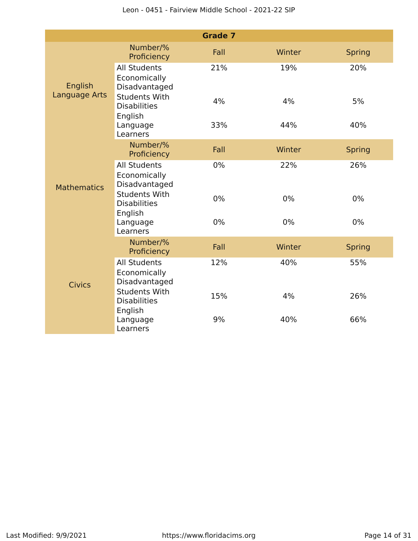|                          |                                                        | <b>Grade 7</b> |        |               |
|--------------------------|--------------------------------------------------------|----------------|--------|---------------|
| English<br>Language Arts | Number/%<br>Proficiency                                | Fall           | Winter | <b>Spring</b> |
|                          | <b>All Students</b><br>Economically<br>Disadvantaged   | 21%            | 19%    | 20%           |
|                          | <b>Students With</b><br><b>Disabilities</b><br>English | 4%             | 4%     | 5%            |
|                          | Language<br>Learners                                   | 33%            | 44%    | 40%           |
|                          | Number/%<br>Proficiency                                | Fall           | Winter | <b>Spring</b> |
| <b>Mathematics</b>       | <b>All Students</b><br>Economically<br>Disadvantaged   | 0%             | 22%    | 26%           |
|                          | <b>Students With</b><br><b>Disabilities</b><br>English | 0%             | 0%     | 0%            |
|                          | Language<br>Learners                                   | 0%             | 0%     | $0\%$         |
|                          | Number/%<br>Proficiency                                | Fall           | Winter | <b>Spring</b> |
| <b>Civics</b>            | <b>All Students</b><br>Economically<br>Disadvantaged   | 12%            | 40%    | 55%           |
|                          | <b>Students With</b><br><b>Disabilities</b><br>English | 15%            | 4%     | 26%           |
|                          | Language<br>Learners                                   | 9%             | 40%    | 66%           |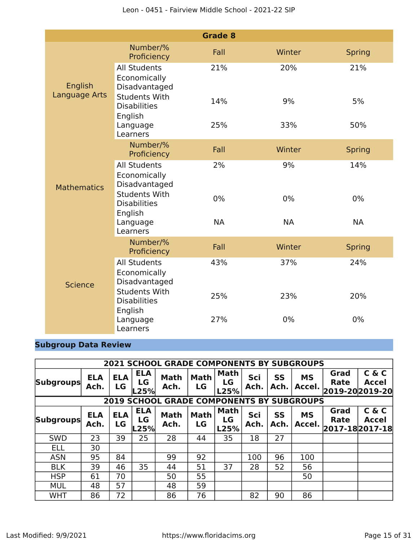|                      |                                                        | <b>Grade 8</b> |           |               |
|----------------------|--------------------------------------------------------|----------------|-----------|---------------|
|                      | Number/%<br>Proficiency                                | Fall           | Winter    | <b>Spring</b> |
| English              | <b>All Students</b><br>Economically<br>Disadvantaged   | 21%            | 20%       | 21%           |
| <b>Language Arts</b> | <b>Students With</b><br><b>Disabilities</b><br>English | 14%            | 9%        | 5%            |
|                      | Language<br>Learners                                   | 25%            | 33%       | 50%           |
|                      | Number/%<br>Proficiency                                | Fall           | Winter    | <b>Spring</b> |
| <b>Mathematics</b>   | <b>All Students</b><br>Economically<br>Disadvantaged   | 2%             | 9%        | 14%           |
|                      | <b>Students With</b><br><b>Disabilities</b><br>English | $0\%$          | 0%        | 0%            |
|                      | Language<br>Learners                                   | <b>NA</b>      | <b>NA</b> | <b>NA</b>     |
|                      | Number/%<br>Proficiency                                | Fall           | Winter    | <b>Spring</b> |
| <b>Science</b>       | <b>All Students</b><br>Economically<br>Disadvantaged   | 43%            | 37%       | 24%           |
|                      | <b>Students With</b><br><b>Disabilities</b><br>English | 25%            | 23%       | 20%           |
|                      | Language<br>Learners                                   | 27%            | 0%        | 0%            |

### **Subgroup Data Review**

|                  |                    |                  |                          | <b>2021 SCHOOL GRADE COMPONENTS BY SUBGROUPS</b> |                   |                           |             |            |                     |                                            |                       |
|------------------|--------------------|------------------|--------------------------|--------------------------------------------------|-------------------|---------------------------|-------------|------------|---------------------|--------------------------------------------|-----------------------|
| <b>Subgroups</b> | <b>ELA</b><br>Ach. | <b>ELA</b><br>LG | <b>ELA</b><br>LG<br>.25% | <b>Math</b><br>Ach.                              | <b>Math</b><br>LG | <b>Math</b><br>LG<br>L25% | Sci<br>Ach. | SS<br>Ach. | <b>MS</b><br>Accel. | Grad<br>Rate<br>2019-202019-20             | C & C<br>Accel        |
|                  |                    |                  |                          | <b>2019 SCHOOL GRADE COMPONENTS BY SUBGROUPS</b> |                   |                           |             |            |                     |                                            |                       |
| <b>Subgroups</b> | <b>ELA</b><br>Ach. | <b>ELA</b><br>LG | <b>ELA</b><br>LG<br>L25% | <b>Math</b><br>Ach.                              | <b>Math</b><br>LG | <b>Math</b><br>LG<br>L25% | Sci<br>Ach. | SS<br>Ach. | <b>MS</b><br>Accel. | Grad<br><b>Rate</b><br>$ 2017-18 2017-18 $ | C & C<br><b>Accel</b> |
| <b>SWD</b>       | 23                 | 39               | 25                       | 28                                               | 44                | 35                        | 18          | 27         |                     |                                            |                       |
| <b>ELL</b>       | 30                 |                  |                          |                                                  |                   |                           |             |            |                     |                                            |                       |
| <b>ASN</b>       | 95                 | 84               |                          | 99                                               | 92                |                           | 100         | 96         | 100                 |                                            |                       |
| <b>BLK</b>       | 39                 | 46               | 35                       | 44                                               | 51                | 37                        | 28          | 52         | 56                  |                                            |                       |
| <b>HSP</b>       | 61                 | 70               |                          | 50                                               | 55                |                           |             |            | 50                  |                                            |                       |
| <b>MUL</b>       | 48                 | 57               |                          | 48                                               | 59                |                           |             |            |                     |                                            |                       |
| <b>WHT</b>       | 86                 | 72               |                          | 86                                               | 76                |                           | 82          | 90         | 86                  |                                            |                       |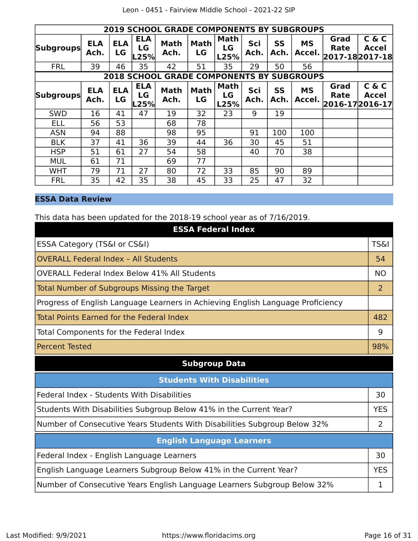|                  | <b>2019 SCHOOL GRADE COMPONENTS BY SUBGROUPS</b> |                  |                          |                                     |                   |                           |             |                   |                     |                     |                                   |
|------------------|--------------------------------------------------|------------------|--------------------------|-------------------------------------|-------------------|---------------------------|-------------|-------------------|---------------------|---------------------|-----------------------------------|
| <b>Subgroups</b> | <b>ELA</b><br>Ach.                               | <b>ELA</b><br>LG | <b>ELA</b><br>LG<br>25%  | <b>Math</b><br>Ach.                 | <b>Math</b><br>LG | Math<br>LG<br>L25%        | Sci<br>Ach. | <b>SS</b><br>Ach. | <b>MS</b><br>Accel. | Grad<br><b>Rate</b> | C & C<br>Accel<br>2017-182017-18  |
| <b>FRL</b>       | 39                                               | 46               | 35                       | 42                                  | 51                | 35                        | 29          | 50                | 56                  |                     |                                   |
|                  |                                                  |                  |                          | <b>2018 SCHOOL GRADE COMPONENTS</b> |                   |                           |             |                   | <b>BY SUBGROUPS</b> |                     |                                   |
| <b>Subgroups</b> | <b>ELA</b><br>Ach.                               | <b>ELA</b><br>LG | <b>ELA</b><br>LG<br>-25% | <b>Math</b><br>Ach.                 | <b>Math</b><br>LG | <b>Math</b><br>LG<br>L25% | Sci<br>Ach. | <b>SS</b><br>Ach. | <b>MS</b><br>Accel. | Grad<br><b>Rate</b> | C & C<br>Accel<br>2016-17 2016-17 |
| <b>SWD</b>       | 16                                               | 41               | 47                       | 19                                  | 32                | 23                        | 9           | 19                |                     |                     |                                   |
| <b>ELL</b>       | 56                                               | 53               |                          | 68                                  | 78                |                           |             |                   |                     |                     |                                   |
| <b>ASN</b>       | 94                                               | 88               |                          | 98                                  | 95                |                           | 91          | 100               | 100                 |                     |                                   |
| <b>BLK</b>       | 37                                               | 41               | 36                       | 39                                  | 44                | 36                        | 30          | 45                | 51                  |                     |                                   |
| <b>HSP</b>       | 51                                               | 61               | 27                       | 54                                  | 58                |                           | 40          | 70                | 38                  |                     |                                   |
| <b>MUL</b>       | 61                                               | 71               |                          | 69                                  | 77                |                           |             |                   |                     |                     |                                   |
| <b>WHT</b>       | 79                                               | 71               | 27                       | 80                                  | 72                | 33                        | 85          | 90                | 89                  |                     |                                   |
| <b>FRL</b>       | 35                                               | 42               | 35                       | 38                                  | 45                | 33                        | 25          | 47                | 32                  |                     |                                   |

### **ESSA Data Review**

This data has been updated for the 2018-19 school year as of 7/16/2019.

| <b>ESSA Federal Index</b>                                                       |                 |
|---------------------------------------------------------------------------------|-----------------|
| ESSA Category (TS&I or CS&I)                                                    | <b>TS&amp;I</b> |
| <b>OVERALL Federal Index - All Students</b>                                     | 54              |
| OVERALL Federal Index Below 41% All Students                                    | <b>NO</b>       |
| <b>Total Number of Subgroups Missing the Target</b>                             | 2               |
| Progress of English Language Learners in Achieving English Language Proficiency |                 |
| Total Points Earned for the Federal Index                                       | 482             |
| Total Components for the Federal Index                                          | 9               |
| <b>Percent Tested</b>                                                           | 98%             |
| <b>Subgroup Data</b>                                                            |                 |

| <b>Students With Disabilities</b>                                         |            |  |  |
|---------------------------------------------------------------------------|------------|--|--|
| Federal Index - Students With Disabilities                                | 30         |  |  |
| Students With Disabilities Subgroup Below 41% in the Current Year?        | <b>YES</b> |  |  |
| Number of Consecutive Years Students With Disabilities Subgroup Below 32% | ว          |  |  |
| <b>English Language Learners</b>                                          |            |  |  |
| Federal Index - English Language Learners                                 | 30         |  |  |
| English Language Learners Subgroup Below 41% in the Current Year?         | YFS        |  |  |
| Number of Consecutive Years English Language Learners Subgroup Below 32%  |            |  |  |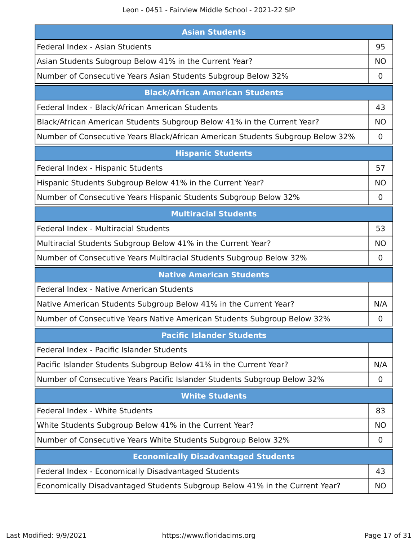Leon - 0451 - Fairview Middle School - 2021-22 SIP

| <b>Asian Students</b>                                                          |                |  |  |
|--------------------------------------------------------------------------------|----------------|--|--|
| Federal Index - Asian Students                                                 | 95             |  |  |
| Asian Students Subgroup Below 41% in the Current Year?                         | ΝO             |  |  |
| Number of Consecutive Years Asian Students Subgroup Below 32%                  | O              |  |  |
| <b>Black/African American Students</b>                                         |                |  |  |
| Federal Index - Black/African American Students                                | 43             |  |  |
| Black/African American Students Subgroup Below 41% in the Current Year?        | <b>NO</b>      |  |  |
| Number of Consecutive Years Black/African American Students Subgroup Below 32% | $\mathbf 0$    |  |  |
| <b>Hispanic Students</b>                                                       |                |  |  |
| Federal Index - Hispanic Students                                              | 57             |  |  |
| Hispanic Students Subgroup Below 41% in the Current Year?                      | <b>NO</b>      |  |  |
| Number of Consecutive Years Hispanic Students Subgroup Below 32%               | 0              |  |  |
| <b>Multiracial Students</b>                                                    |                |  |  |
| <b>Federal Index - Multiracial Students</b>                                    | 53             |  |  |
| Multiracial Students Subgroup Below 41% in the Current Year?                   | <b>NO</b>      |  |  |
| Number of Consecutive Years Multiracial Students Subgroup Below 32%            | 0              |  |  |
| <b>Native American Students</b>                                                |                |  |  |
| Federal Index - Native American Students                                       |                |  |  |
| Native American Students Subgroup Below 41% in the Current Year?               | N/A            |  |  |
| Number of Consecutive Years Native American Students Subgroup Below 32%        | 0              |  |  |
| <b>Pacific Islander Students</b>                                               |                |  |  |
| Federal Index - Pacific Islander Students                                      |                |  |  |
| Pacific Islander Students Subgroup Below 41% in the Current Year?              | N/A            |  |  |
| Number of Consecutive Years Pacific Islander Students Subgroup Below 32%       | $\overline{0}$ |  |  |
| <b>White Students</b>                                                          |                |  |  |
| Federal Index - White Students                                                 | 83             |  |  |
| White Students Subgroup Below 41% in the Current Year?                         | <b>NO</b>      |  |  |
| Number of Consecutive Years White Students Subgroup Below 32%                  | $\mathbf 0$    |  |  |
| <b>Economically Disadvantaged Students</b>                                     |                |  |  |
| Federal Index - Economically Disadvantaged Students                            | 43             |  |  |
| Economically Disadvantaged Students Subgroup Below 41% in the Current Year?    | NO.            |  |  |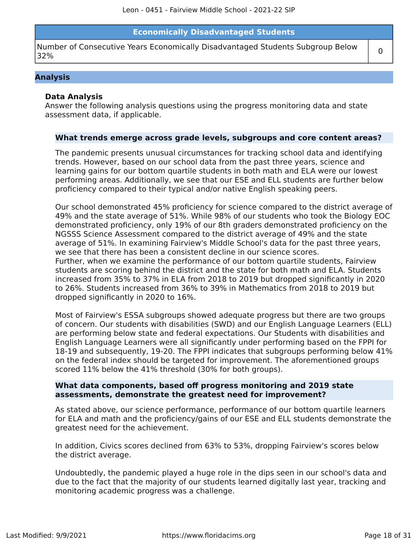### **Economically Disadvantaged Students**

Number of Consecutive Years Economically Disadvantaged Students Subgroup Below  $\begin{bmatrix} 0 \end{bmatrix}$ 

### **Analysis**

### **Data Analysis**

Answer the following analysis questions using the progress monitoring data and state assessment data, if applicable.

#### **What trends emerge across grade levels, subgroups and core content areas?**

The pandemic presents unusual circumstances for tracking school data and identifying trends. However, based on our school data from the past three years, science and learning gains for our bottom quartile students in both math and ELA were our lowest performing areas. Additionally, we see that our ESE and ELL students are further below proficiency compared to their typical and/or native English speaking peers.

Our school demonstrated 45% proficiency for science compared to the district average of 49% and the state average of 51%. While 98% of our students who took the Biology EOC demonstrated proficiency, only 19% of our 8th graders demonstrated proficiency on the NGSSS Science Assessment compared to the district average of 49% and the state average of 51%. In examining Fairview's Middle School's data for the past three years, we see that there has been a consistent decline in our science scores. Further, when we examine the performance of our bottom quartile students, Fairview students are scoring behind the district and the state for both math and ELA. Students increased from 35% to 37% in ELA from 2018 to 2019 but dropped significantly in 2020 to 26%. Students increased from 36% to 39% in Mathematics from 2018 to 2019 but dropped significantly in 2020 to 16%.

Most of Fairview's ESSA subgroups showed adequate progress but there are two groups of concern. Our students with disabilities (SWD) and our English Language Learners (ELL) are performing below state and federal expectations. Our Students with disabilities and English Language Learners were all significantly under performing based on the FPPI for 18-19 and subsequently, 19-20. The FPPI indicates that subgroups performing below 41% on the federal index should be targeted for improvement. The aforementioned groups scored 11% below the 41% threshold (30% for both groups).

### **What data components, based off progress monitoring and 2019 state assessments, demonstrate the greatest need for improvement?**

As stated above, our science performance, performance of our bottom quartile learners for ELA and math and the proficiency/gains of our ESE and ELL students demonstrate the greatest need for the achievement.

In addition, Civics scores declined from 63% to 53%, dropping Fairview's scores below the district average.

Undoubtedly, the pandemic played a huge role in the dips seen in our school's data and due to the fact that the majority of our students learned digitally last year, tracking and monitoring academic progress was a challenge.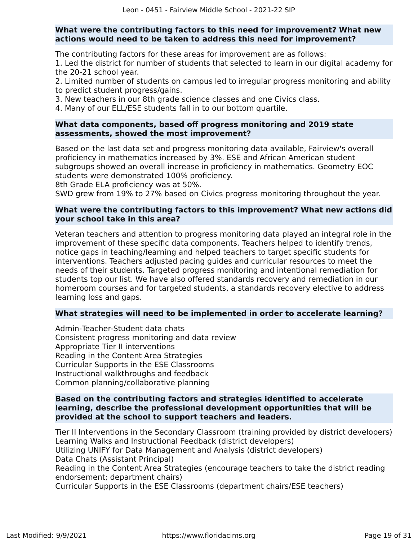### **What were the contributing factors to this need for improvement? What new actions would need to be taken to address this need for improvement?**

The contributing factors for these areas for improvement are as follows:

1. Led the district for number of students that selected to learn in our digital academy for the 20-21 school year.

2. Limited number of students on campus led to irregular progress monitoring and ability to predict student progress/gains.

3. New teachers in our 8th grade science classes and one Civics class.

4. Many of our ELL/ESE students fall in to our bottom quartile.

### **What data components, based off progress monitoring and 2019 state assessments, showed the most improvement?**

Based on the last data set and progress monitoring data available, Fairview's overall proficiency in mathematics increased by 3%. ESE and African American student subgroups showed an overall increase in proficiency in mathematics. Geometry EOC students were demonstrated 100% proficiency.

8th Grade ELA proficiency was at 50%.

SWD grew from 19% to 27% based on Civics progress monitoring throughout the year.

### **What were the contributing factors to this improvement? What new actions did your school take in this area?**

Veteran teachers and attention to progress monitoring data played an integral role in the improvement of these specific data components. Teachers helped to identify trends, notice gaps in teaching/learning and helped teachers to target specific students for interventions. Teachers adjusted pacing guides and curricular resources to meet the needs of their students. Targeted progress monitoring and intentional remediation for students top our list. We have also offered standards recovery and remediation in our homeroom courses and for targeted students, a standards recovery elective to address learning loss and gaps.

### **What strategies will need to be implemented in order to accelerate learning?**

Admin-Teacher-Student data chats Consistent progress monitoring and data review Appropriate Tier II interventions Reading in the Content Area Strategies Curricular Supports in the ESE Classrooms Instructional walkthroughs and feedback Common planning/collaborative planning

### **Based on the contributing factors and strategies identified to accelerate learning, describe the professional development opportunities that will be provided at the school to support teachers and leaders.**

Tier II Interventions in the Secondary Classroom (training provided by district developers) Learning Walks and Instructional Feedback (district developers) Utilizing UNIFY for Data Management and Analysis (district developers) Data Chats (Assistant Principal) Reading in the Content Area Strategies (encourage teachers to take the district reading endorsement; department chairs) Curricular Supports in the ESE Classrooms (department chairs/ESE teachers)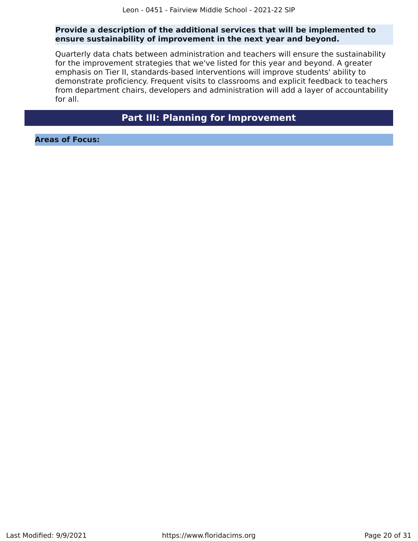### **Provide a description of the additional services that will be implemented to ensure sustainability of improvement in the next year and beyond.**

Quarterly data chats between administration and teachers will ensure the sustainability for the improvement strategies that we've listed for this year and beyond. A greater emphasis on Tier II, standards-based interventions will improve students' ability to demonstrate proficiency. Frequent visits to classrooms and explicit feedback to teachers from department chairs, developers and administration will add a layer of accountability for all.

### **Part III: Planning for Improvement**

<span id="page-19-0"></span>**Areas of Focus:**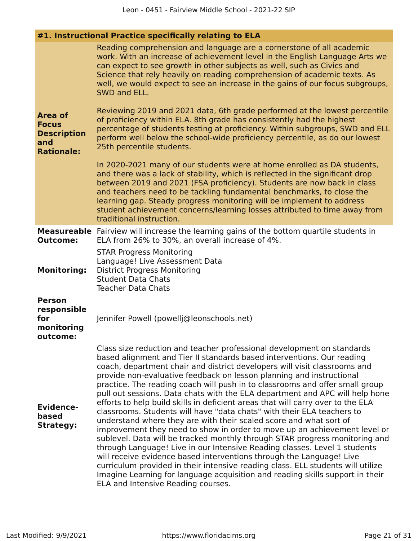| #1. Instructional Practice specifically relating to ELA                          |                                                                                                                                                                                                                                                                                                                                                                                                                                                                                                                                                                                                                                                                                                                                                                                                                                                                                                                                                                                                                                                                                                                                                                                                                                     |  |  |
|----------------------------------------------------------------------------------|-------------------------------------------------------------------------------------------------------------------------------------------------------------------------------------------------------------------------------------------------------------------------------------------------------------------------------------------------------------------------------------------------------------------------------------------------------------------------------------------------------------------------------------------------------------------------------------------------------------------------------------------------------------------------------------------------------------------------------------------------------------------------------------------------------------------------------------------------------------------------------------------------------------------------------------------------------------------------------------------------------------------------------------------------------------------------------------------------------------------------------------------------------------------------------------------------------------------------------------|--|--|
|                                                                                  | Reading comprehension and language are a cornerstone of all academic<br>work. With an increase of achievement level in the English Language Arts we<br>can expect to see growth in other subjects as well, such as Civics and<br>Science that rely heavily on reading comprehension of academic texts. As<br>well, we would expect to see an increase in the gains of our focus subgroups,<br>SWD and ELL.                                                                                                                                                                                                                                                                                                                                                                                                                                                                                                                                                                                                                                                                                                                                                                                                                          |  |  |
| <b>Area of</b><br><b>Focus</b><br><b>Description</b><br>and<br><b>Rationale:</b> | Reviewing 2019 and 2021 data, 6th grade performed at the lowest percentile<br>of proficiency within ELA. 8th grade has consistently had the highest<br>percentage of students testing at proficiency. Within subgroups, SWD and ELL<br>perform well below the school-wide proficiency percentile, as do our lowest<br>25th percentile students.                                                                                                                                                                                                                                                                                                                                                                                                                                                                                                                                                                                                                                                                                                                                                                                                                                                                                     |  |  |
|                                                                                  | In 2020-2021 many of our students were at home enrolled as DA students,<br>and there was a lack of stability, which is reflected in the significant drop<br>between 2019 and 2021 (FSA proficiency). Students are now back in class<br>and teachers need to be tackling fundamental benchmarks, to close the<br>learning gap. Steady progress monitoring will be implement to address<br>student achievement concerns/learning losses attributed to time away from<br>traditional instruction.                                                                                                                                                                                                                                                                                                                                                                                                                                                                                                                                                                                                                                                                                                                                      |  |  |
| <b>Outcome:</b>                                                                  | <b>Measureable</b> Fairview will increase the learning gains of the bottom quartile students in<br>ELA from 26% to 30%, an overall increase of 4%.                                                                                                                                                                                                                                                                                                                                                                                                                                                                                                                                                                                                                                                                                                                                                                                                                                                                                                                                                                                                                                                                                  |  |  |
| <b>Monitoring:</b>                                                               | <b>STAR Progress Monitoring</b><br>Language! Live Assessment Data<br><b>District Progress Monitoring</b><br><b>Student Data Chats</b><br><b>Teacher Data Chats</b>                                                                                                                                                                                                                                                                                                                                                                                                                                                                                                                                                                                                                                                                                                                                                                                                                                                                                                                                                                                                                                                                  |  |  |
| <b>Person</b><br>responsible<br>for<br>monitoring<br>outcome:                    | Jennifer Powell (powellj@leonschools.net)                                                                                                                                                                                                                                                                                                                                                                                                                                                                                                                                                                                                                                                                                                                                                                                                                                                                                                                                                                                                                                                                                                                                                                                           |  |  |
| <b>Evidence-</b><br>based<br><b>Strategy:</b>                                    | Class size reduction and teacher professional development on standards<br>based alignment and Tier II standards based interventions. Our reading<br>coach, department chair and district developers will visit classrooms and<br>provide non-evaluative feedback on lesson planning and instructional<br>practice. The reading coach will push in to classrooms and offer small group<br>pull out sessions. Data chats with the ELA department and APC will help hone<br>efforts to help build skills in deficient areas that will carry over to the ELA<br>classrooms. Students will have "data chats" with their ELA teachers to<br>understand where they are with their scaled score and what sort of<br>improvement they need to show in order to move up an achievement level or<br>sublevel. Data will be tracked monthly through STAR progress monitoring and<br>through Language! Live in our Intensive Reading classes. Level 1 students<br>will receive evidence based interventions through the Language! Live<br>curriculum provided in their intensive reading class. ELL students will utilize<br>Imagine Learning for language acquisition and reading skills support in their<br>ELA and Intensive Reading courses. |  |  |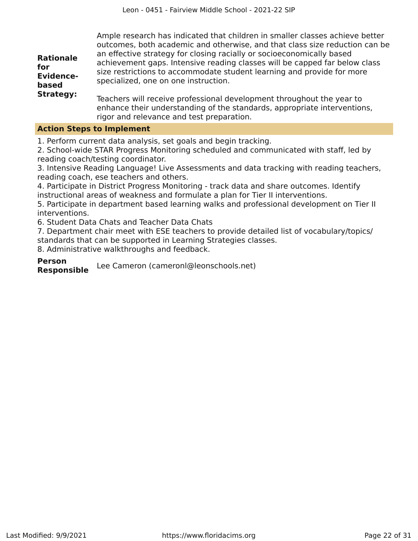| <b>Rationale</b><br>for<br><b>Evidence-</b><br>based | Ample research has indicated that children in smaller classes achieve better<br>outcomes, both academic and otherwise, and that class size reduction can be<br>an effective strategy for closing racially or socioeconomically based<br>achievement gaps. Intensive reading classes will be capped far below class<br>size restrictions to accommodate student learning and provide for more<br>specialized, one on one instruction. |
|------------------------------------------------------|--------------------------------------------------------------------------------------------------------------------------------------------------------------------------------------------------------------------------------------------------------------------------------------------------------------------------------------------------------------------------------------------------------------------------------------|
| <b>Strategy:</b>                                     | Teachers will receive professional development throughout the year to<br>enhance their understanding of the standards, appropriate interventions,                                                                                                                                                                                                                                                                                    |

### **Action Steps to Implement**

1. Perform current data analysis, set goals and begin tracking.

rigor and relevance and test preparation.

2. School-wide STAR Progress Monitoring scheduled and communicated with staff, led by reading coach/testing coordinator.

3. Intensive Reading Language! Live Assessments and data tracking with reading teachers, reading coach, ese teachers and others.

4. Participate in District Progress Monitoring - track data and share outcomes. Identify instructional areas of weakness and formulate a plan for Tier II interventions.

5. Participate in department based learning walks and professional development on Tier II interventions.

6. Student Data Chats and Teacher Data Chats

7. Department chair meet with ESE teachers to provide detailed list of vocabulary/topics/ standards that can be supported in Learning Strategies classes.

8. Administrative walkthroughs and feedback.

### **Person**

**Responsible** Lee Cameron (cameronl@leonschools.net)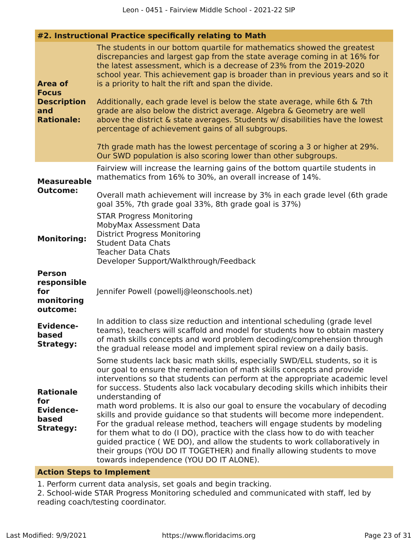| #2. Instructional Practice specifically relating to Math |  |  |  |  |
|----------------------------------------------------------|--|--|--|--|
|----------------------------------------------------------|--|--|--|--|

| <b>Area of</b><br><b>Focus</b><br><b>Description</b><br>and<br><b>Rationale:</b> | The students in our bottom quartile for mathematics showed the greatest<br>discrepancies and largest gap from the state average coming in at 16% for<br>the latest assessment, which is a decrease of 23% from the 2019-2020<br>school year. This achievement gap is broader than in previous years and so it<br>is a priority to halt the rift and span the divide.<br>Additionally, each grade level is below the state average, while 6th & 7th<br>grade are also below the district average. Algebra & Geometry are well<br>above the district & state averages. Students w/ disabilities have the lowest<br>percentage of achievement gains of all subgroups.<br>7th grade math has the lowest percentage of scoring a 3 or higher at 29%.<br>Our SWD population is also scoring lower than other subgroups.                                                         |
|----------------------------------------------------------------------------------|---------------------------------------------------------------------------------------------------------------------------------------------------------------------------------------------------------------------------------------------------------------------------------------------------------------------------------------------------------------------------------------------------------------------------------------------------------------------------------------------------------------------------------------------------------------------------------------------------------------------------------------------------------------------------------------------------------------------------------------------------------------------------------------------------------------------------------------------------------------------------|
| <b>Measureable</b>                                                               | Fairview will increase the learning gains of the bottom quartile students in<br>mathematics from 16% to 30%, an overall increase of 14%.                                                                                                                                                                                                                                                                                                                                                                                                                                                                                                                                                                                                                                                                                                                                  |
| <b>Outcome:</b>                                                                  | Overall math achievement will increase by 3% in each grade level (6th grade<br>goal 35%, 7th grade goal 33%, 8th grade goal is 37%)                                                                                                                                                                                                                                                                                                                                                                                                                                                                                                                                                                                                                                                                                                                                       |
| <b>Monitoring:</b>                                                               | <b>STAR Progress Monitoring</b><br>MobyMax Assessment Data<br><b>District Progress Monitoring</b><br><b>Student Data Chats</b><br><b>Teacher Data Chats</b><br>Developer Support/Walkthrough/Feedback                                                                                                                                                                                                                                                                                                                                                                                                                                                                                                                                                                                                                                                                     |
| <b>Person</b><br>responsible<br>for<br>monitoring<br>outcome:                    | Jennifer Powell (powellj@leonschools.net)                                                                                                                                                                                                                                                                                                                                                                                                                                                                                                                                                                                                                                                                                                                                                                                                                                 |
| <b>Evidence-</b><br>based<br><b>Strategy:</b>                                    | In addition to class size reduction and intentional scheduling (grade level<br>teams), teachers will scaffold and model for students how to obtain mastery<br>of math skills concepts and word problem decoding/comprehension through<br>the gradual release model and implement spiral review on a daily basis.                                                                                                                                                                                                                                                                                                                                                                                                                                                                                                                                                          |
| <b>Rationale</b><br>for<br><b>Evidence-</b><br>based<br><b>Strategy:</b>         | Some students lack basic math skills, especially SWD/ELL students, so it is<br>our goal to ensure the remediation of math skills concepts and provide<br>interventions so that students can perform at the appropriate academic level<br>for success. Students also lack vocabulary decoding skills which inhibits their<br>understanding of<br>math word problems. It is also our goal to ensure the vocabulary of decoding<br>skills and provide guidance so that students will become more independent.<br>For the gradual release method, teachers will engage students by modeling<br>for them what to do (I DO), practice with the class how to do with teacher<br>guided practice (WE DO), and allow the students to work collaboratively in<br>their groups (YOU DO IT TOGETHER) and finally allowing students to move<br>towards independence (YOU DO IT ALONE). |

### **Action Steps to Implement**

1. Perform current data analysis, set goals and begin tracking.

2. School-wide STAR Progress Monitoring scheduled and communicated with staff, led by reading coach/testing coordinator.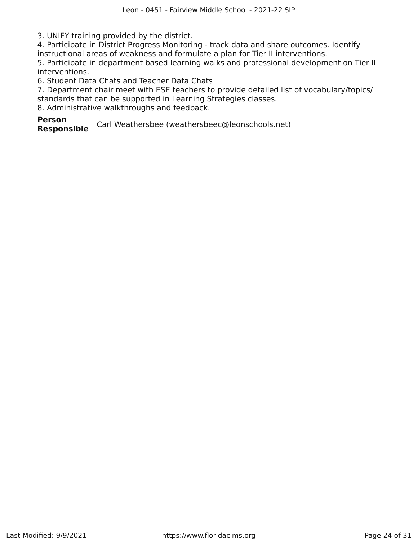3. UNIFY training provided by the district.

4. Participate in District Progress Monitoring - track data and share outcomes. Identify instructional areas of weakness and formulate a plan for Tier II interventions.

5. Participate in department based learning walks and professional development on Tier II interventions.

6. Student Data Chats and Teacher Data Chats

7. Department chair meet with ESE teachers to provide detailed list of vocabulary/topics/ standards that can be supported in Learning Strategies classes.

8. Administrative walkthroughs and feedback.

**Person**

Carl Weathersbee (weathersbeec@leonschools.net)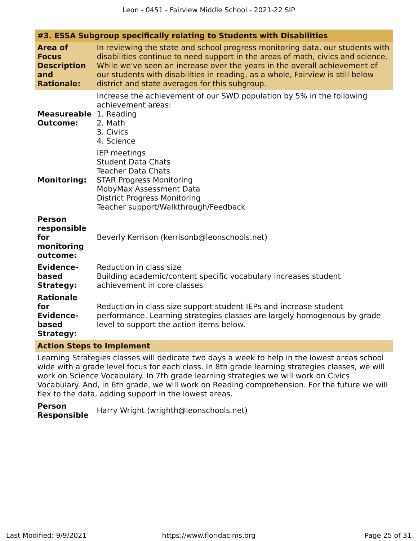| #3. ESSA Subgroup specifically relating to Students with Disabilities            |                                                                                                                                                                                                                                                                                                                                                                                   |  |  |
|----------------------------------------------------------------------------------|-----------------------------------------------------------------------------------------------------------------------------------------------------------------------------------------------------------------------------------------------------------------------------------------------------------------------------------------------------------------------------------|--|--|
| <b>Area of</b><br><b>Focus</b><br><b>Description</b><br>and<br><b>Rationale:</b> | In reviewing the state and school progress monitoring data, our students with<br>disabilities continue to need support in the areas of math, civics and science.<br>While we've seen an increase over the years in the overall achievement of<br>our students with disabilities in reading, as a whole, Fairview is still below<br>district and state averages for this subgroup. |  |  |
| <b>Measureable</b> 1. Reading<br><b>Outcome:</b>                                 | Increase the achievement of our SWD population by 5% in the following<br>achievement areas:<br>2. Math<br>3. Civics<br>4. Science                                                                                                                                                                                                                                                 |  |  |
| <b>Monitoring:</b>                                                               | IEP meetings<br><b>Student Data Chats</b><br><b>Teacher Data Chats</b><br><b>STAR Progress Monitoring</b><br>MobyMax Assessment Data<br><b>District Progress Monitoring</b><br>Teacher support/Walkthrough/Feedback                                                                                                                                                               |  |  |
| <b>Person</b><br>responsible<br>for<br>monitoring<br>outcome:                    | Beverly Kerrison (kerrisonb@leonschools.net)                                                                                                                                                                                                                                                                                                                                      |  |  |
| <b>Evidence-</b><br>based<br><b>Strategy:</b>                                    | Reduction in class size<br>Building academic/content specific vocabulary increases student<br>achievement in core classes                                                                                                                                                                                                                                                         |  |  |
| <b>Rationale</b><br>for<br><b>Evidence-</b><br>based<br><b>Strategy:</b>         | Reduction in class size support student IEPs and increase student<br>performance. Learning strategies classes are largely homogenous by grade<br>level to support the action items below.                                                                                                                                                                                         |  |  |

### **Action Steps to Implement**

Learning Strategies classes will dedicate two days a week to help in the lowest areas school wide with a grade level focus for each class. In 8th grade learning strategies classes, we will work on Science Vocabulary. In 7th grade learning strategies we will work on Civics Vocabulary. And, in 6th grade, we will work on Reading comprehension. For the future we will flex to the data, adding support in the lowest areas.

**Person Responsible** Harry Wright (wrighth@leonschools.net)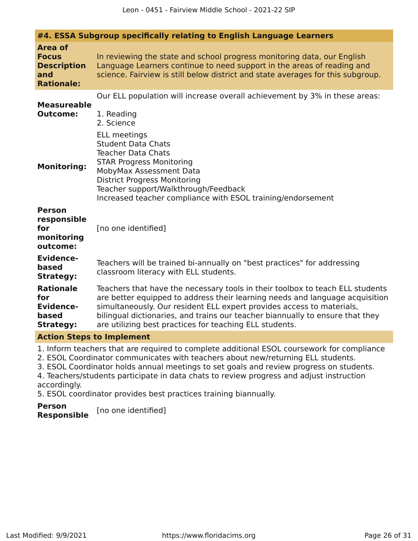|                                                                                  | #4. ESSA Subgroup specifically relating to English Language Learners                                                                                                                                                                                                                                                                                                               |
|----------------------------------------------------------------------------------|------------------------------------------------------------------------------------------------------------------------------------------------------------------------------------------------------------------------------------------------------------------------------------------------------------------------------------------------------------------------------------|
| <b>Area of</b><br><b>Focus</b><br><b>Description</b><br>and<br><b>Rationale:</b> | In reviewing the state and school progress monitoring data, our English<br>Language Learners continue to need support in the areas of reading and<br>science. Fairview is still below district and state averages for this subgroup.                                                                                                                                               |
| <b>Measureable</b><br><b>Outcome:</b>                                            | Our ELL population will increase overall achievement by 3% in these areas:<br>1. Reading<br>2. Science<br>ELL meetings                                                                                                                                                                                                                                                             |
| <b>Monitoring:</b>                                                               | <b>Student Data Chats</b><br><b>Teacher Data Chats</b><br><b>STAR Progress Monitoring</b><br>MobyMax Assessment Data<br><b>District Progress Monitoring</b><br>Teacher support/Walkthrough/Feedback<br>Increased teacher compliance with ESOL training/endorsement                                                                                                                 |
| <b>Person</b><br>responsible<br>for<br>monitoring<br>outcome:                    | [no one identified]                                                                                                                                                                                                                                                                                                                                                                |
| <b>Evidence-</b><br>based<br><b>Strategy:</b>                                    | Teachers will be trained bi-annually on "best practices" for addressing<br>classroom literacy with ELL students.                                                                                                                                                                                                                                                                   |
| <b>Rationale</b><br>for<br><b>Evidence-</b><br>based<br><b>Strategy:</b>         | Teachers that have the necessary tools in their toolbox to teach ELL students<br>are better equipped to address their learning needs and language acquisition<br>simultaneously. Our resident ELL expert provides access to materials,<br>bilingual dictionaries, and trains our teacher biannually to ensure that they<br>are utilizing best practices for teaching ELL students. |
| <b>Action Steps to Implement</b>                                                 |                                                                                                                                                                                                                                                                                                                                                                                    |
|                                                                                  | 1. Inform teachers that are required to complete additional ESOL coursework for compliance                                                                                                                                                                                                                                                                                         |

2. ESOL Coordinator communicates with teachers about new/returning ELL students.

3. ESOL Coordinator holds annual meetings to set goals and review progress on students.

4. Teachers/students participate in data chats to review progress and adjust instruction accordingly.

5. ESOL coordinator provides best practices training biannually.

**Person Responsible** [no one identified]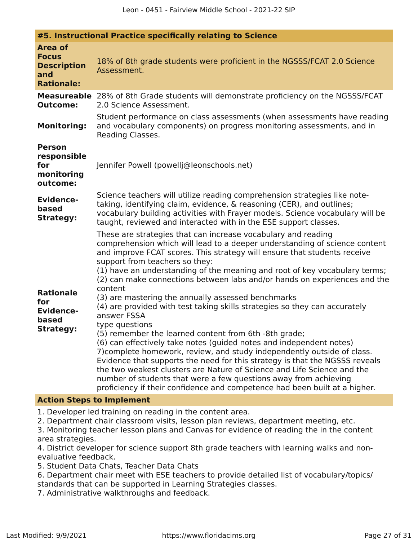| #5. Instructional Practice specifically relating to Science                      |                                                                                                                                                                                                                                                                                                                                                                                                                                                                                                                                                                                                                                                                                                                                                                                                                                                                                                                                                                                                                                                                                                                             |  |  |
|----------------------------------------------------------------------------------|-----------------------------------------------------------------------------------------------------------------------------------------------------------------------------------------------------------------------------------------------------------------------------------------------------------------------------------------------------------------------------------------------------------------------------------------------------------------------------------------------------------------------------------------------------------------------------------------------------------------------------------------------------------------------------------------------------------------------------------------------------------------------------------------------------------------------------------------------------------------------------------------------------------------------------------------------------------------------------------------------------------------------------------------------------------------------------------------------------------------------------|--|--|
| <b>Area of</b><br><b>Focus</b><br><b>Description</b><br>and<br><b>Rationale:</b> | 18% of 8th grade students were proficient in the NGSSS/FCAT 2.0 Science<br>Assessment.                                                                                                                                                                                                                                                                                                                                                                                                                                                                                                                                                                                                                                                                                                                                                                                                                                                                                                                                                                                                                                      |  |  |
| <b>Outcome:</b>                                                                  | <b>Measureable</b> 28% of 8th Grade students will demonstrate proficiency on the NGSSS/FCAT<br>2.0 Science Assessment.<br>Student performance on class assessments (when assessments have reading                                                                                                                                                                                                                                                                                                                                                                                                                                                                                                                                                                                                                                                                                                                                                                                                                                                                                                                           |  |  |
| <b>Monitoring:</b>                                                               | and vocabulary components) on progress monitoring assessments, and in<br>Reading Classes.                                                                                                                                                                                                                                                                                                                                                                                                                                                                                                                                                                                                                                                                                                                                                                                                                                                                                                                                                                                                                                   |  |  |
| <b>Person</b><br>responsible<br>for<br>monitoring<br>outcome:                    | Jennifer Powell (powellj@leonschools.net)                                                                                                                                                                                                                                                                                                                                                                                                                                                                                                                                                                                                                                                                                                                                                                                                                                                                                                                                                                                                                                                                                   |  |  |
| <b>Evidence-</b><br>based<br><b>Strategy:</b>                                    | Science teachers will utilize reading comprehension strategies like note-<br>taking, identifying claim, evidence, & reasoning (CER), and outlines;<br>vocabulary building activities with Frayer models. Science vocabulary will be<br>taught, reviewed and interacted with in the ESE support classes.                                                                                                                                                                                                                                                                                                                                                                                                                                                                                                                                                                                                                                                                                                                                                                                                                     |  |  |
| <b>Rationale</b><br>for<br><b>Evidence-</b><br>based<br><b>Strategy:</b>         | These are strategies that can increase vocabulary and reading<br>comprehension which will lead to a deeper understanding of science content<br>and improve FCAT scores. This strategy will ensure that students receive<br>support from teachers so they:<br>(1) have an understanding of the meaning and root of key vocabulary terms;<br>(2) can make connections between labs and/or hands on experiences and the<br>content<br>(3) are mastering the annually assessed benchmarks<br>(4) are provided with test taking skills strategies so they can accurately<br>answer FSSA<br>type questions<br>(5) remember the learned content from 6th -8th grade;<br>(6) can effectively take notes (guided notes and independent notes)<br>7) complete homework, review, and study independently outside of class.<br>Evidence that supports the need for this strategy is that the NGSSS reveals<br>the two weakest clusters are Nature of Science and Life Science and the<br>number of students that were a few questions away from achieving<br>proficiency if their confidence and competence had been built at a higher. |  |  |

### **Action Steps to Implement**

1. Developer led training on reading in the content area.

2. Department chair classroom visits, lesson plan reviews, department meeting, etc.

3. Monitoring teacher lesson plans and Canvas for evidence of reading the in the content area strategies.

4. District developer for science support 8th grade teachers with learning walks and nonevaluative feedback.

5. Student Data Chats, Teacher Data Chats

6. Department chair meet with ESE teachers to provide detailed list of vocabulary/topics/ standards that can be supported in Learning Strategies classes.

7. Administrative walkthroughs and feedback.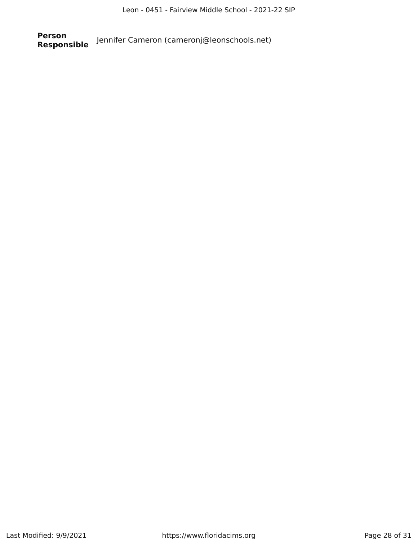**Person Responsible** Jennifer Cameron (cameronj@leonschools.net)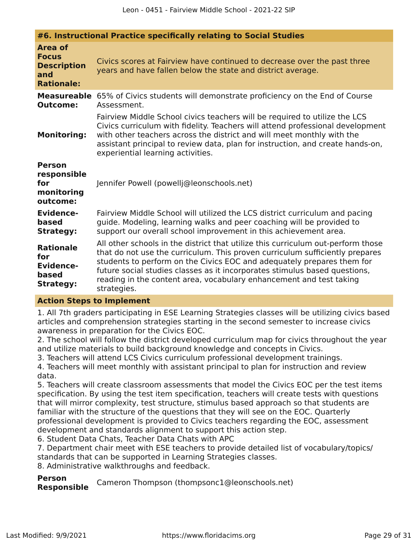| #6. Instructional Practice specifically relating to Social Studies               |                                                                                                                                                                                                                                                                                                                                                                                                                |  |  |
|----------------------------------------------------------------------------------|----------------------------------------------------------------------------------------------------------------------------------------------------------------------------------------------------------------------------------------------------------------------------------------------------------------------------------------------------------------------------------------------------------------|--|--|
| <b>Area of</b><br><b>Focus</b><br><b>Description</b><br>and<br><b>Rationale:</b> | Civics scores at Fairview have continued to decrease over the past three<br>years and have fallen below the state and district average.                                                                                                                                                                                                                                                                        |  |  |
| <b>Measureable</b><br><b>Outcome:</b>                                            | 65% of Civics students will demonstrate proficiency on the End of Course<br>Assessment.                                                                                                                                                                                                                                                                                                                        |  |  |
| <b>Monitoring:</b>                                                               | Fairview Middle School civics teachers will be required to utilize the LCS<br>Civics curriculum with fidelity. Teachers will attend professional development<br>with other teachers across the district and will meet monthly with the<br>assistant principal to review data, plan for instruction, and create hands-on,<br>experiential learning activities.                                                  |  |  |
| <b>Person</b><br>responsible<br>for<br>monitoring<br>outcome:                    | Jennifer Powell (powellj@leonschools.net)                                                                                                                                                                                                                                                                                                                                                                      |  |  |
| <b>Evidence-</b><br>based<br><b>Strategy:</b>                                    | Fairview Middle School will utilized the LCS district curriculum and pacing<br>guide. Modeling, learning walks and peer coaching will be provided to<br>support our overall school improvement in this achievement area.                                                                                                                                                                                       |  |  |
| <b>Rationale</b><br>for<br><b>Evidence-</b><br>based<br><b>Strategy:</b>         | All other schools in the district that utilize this curriculum out-perform those<br>that do not use the curriculum. This proven curriculum sufficiently prepares<br>students to perform on the Civics EOC and adequately prepares them for<br>future social studies classes as it incorporates stimulus based questions,<br>reading in the content area, vocabulary enhancement and test taking<br>strategies. |  |  |

### **Action Steps to Implement**

1. All 7th graders participating in ESE Learning Strategies classes will be utilizing civics based articles and comprehension strategies starting in the second semester to increase civics awareness in preparation for the Civics EOC.

2. The school will follow the district developed curriculum map for civics throughout the year and utilize materials to build background knowledge and concepts in Civics.

3. Teachers will attend LCS Civics curriculum professional development trainings.

4. Teachers will meet monthly with assistant principal to plan for instruction and review data.

5. Teachers will create classroom assessments that model the Civics EOC per the test items specification. By using the test item specification, teachers will create tests with questions that will mirror complexity, test structure, stimulus based approach so that students are familiar with the structure of the questions that they will see on the EOC. Quarterly professional development is provided to Civics teachers regarding the EOC, assessment development and standards alignment to support this action step.

6. Student Data Chats, Teacher Data Chats with APC

7. Department chair meet with ESE teachers to provide detailed list of vocabulary/topics/ standards that can be supported in Learning Strategies classes.

8. Administrative walkthroughs and feedback.

**Person**

**Responsible** Cameron Thompson (thompsonc1@leonschools.net)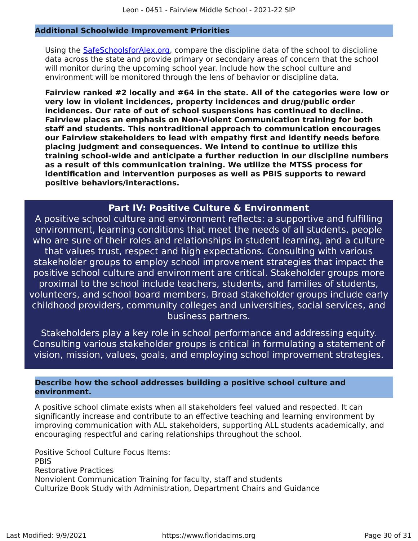### **Additional Schoolwide Improvement Priorities**

Using the [SafeSchoolsforAlex.org,](https://www.safeschoolsforalex.org/fl-school-safety-dashboard/) compare the discipline data of the school to discipline data across the state and provide primary or secondary areas of concern that the school will monitor during the upcoming school year. Include how the school culture and environment will be monitored through the lens of behavior or discipline data.

**Fairview ranked #2 locally and #64 in the state. All of the categories were low or very low in violent incidences, property incidences and drug/public order incidences. Our rate of out of school suspensions has continued to decline. Fairview places an emphasis on Non-Violent Communication training for both staff and students. This nontraditional approach to communication encourages our Fairview stakeholders to lead with empathy first and identify needs before placing judgment and consequences. We intend to continue to utilize this training school-wide and anticipate a further reduction in our discipline numbers as a result of this communication training. We utilize the MTSS process for identification and intervention purposes as well as PBIS supports to reward positive behaviors/interactions.**

### **Part IV: Positive Culture & Environment**

<span id="page-29-0"></span>A positive school culture and environment reflects: a supportive and fulfilling environment, learning conditions that meet the needs of all students, people who are sure of their roles and relationships in student learning, and a culture that values trust, respect and high expectations. Consulting with various stakeholder groups to employ school improvement strategies that impact the positive school culture and environment are critical. Stakeholder groups more proximal to the school include teachers, students, and families of students, volunteers, and school board members. Broad stakeholder groups include early childhood providers, community colleges and universities, social services, and business partners.

Stakeholders play a key role in school performance and addressing equity. Consulting various stakeholder groups is critical in formulating a statement of vision, mission, values, goals, and employing school improvement strategies.

### **Describe how the school addresses building a positive school culture and environment.**

A positive school climate exists when all stakeholders feel valued and respected. It can significantly increase and contribute to an effective teaching and learning environment by improving communication with ALL stakeholders, supporting ALL students academically, and encouraging respectful and caring relationships throughout the school.

Positive School Culture Focus Items: PBIS Restorative Practices Nonviolent Communication Training for faculty, staff and students Culturize Book Study with Administration, Department Chairs and Guidance